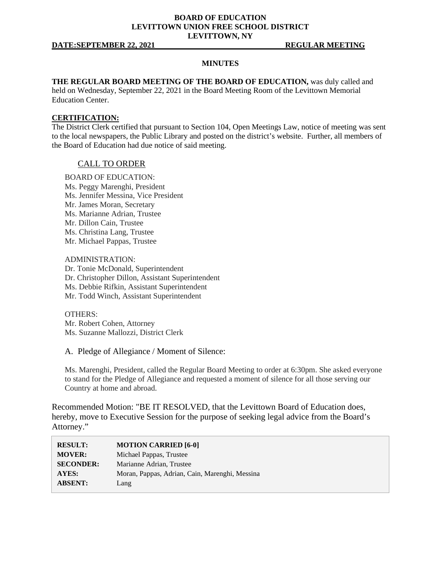### **BOARD OF EDUCATION LEVITTOWN UNION FREE SCHOOL DISTRICT LEVITTOWN, NY**

#### **DATE:SEPTEMBER 22, 2021 REGULAR MEETING**

### **MINUTES**

### **THE REGULAR BOARD MEETING OF THE BOARD OF EDUCATION,** was duly called and

held on Wednesday, September 22, 2021 in the Board Meeting Room of the Levittown Memorial Education Center.

#### **CERTIFICATION:**

The District Clerk certified that pursuant to Section 104, Open Meetings Law, notice of meeting was sent to the local newspapers, the Public Library and posted on the district's website. Further, all members of the Board of Education had due notice of said meeting.

### CALL TO ORDER

BOARD OF EDUCATION: Ms. Peggy Marenghi, President Ms. Jennifer Messina, Vice President Mr. James Moran, Secretary Ms. Marianne Adrian, Trustee Mr. Dillon Cain, Trustee Ms. Christina Lang, Trustee Mr. Michael Pappas, Trustee

ADMINISTRATION: Dr. Tonie McDonald, Superintendent Dr. Christopher Dillon, Assistant Superintendent Ms. Debbie Rifkin, Assistant Superintendent Mr. Todd Winch, Assistant Superintendent

OTHERS: Mr. Robert Cohen, Attorney Ms. Suzanne Mallozzi, District Clerk

A. Pledge of Allegiance / Moment of Silence:

Ms. Marenghi, President, called the Regular Board Meeting to order at 6:30pm. She asked everyone to stand for the Pledge of Allegiance and requested a moment of silence for all those serving our Country at home and abroad.

Recommended Motion: "BE IT RESOLVED, that the Levittown Board of Education does, hereby, move to Executive Session for the purpose of seeking legal advice from the Board's Attorney."

| <b>RESULT:</b>   | <b>MOTION CARRIED [6-0]</b>                    |
|------------------|------------------------------------------------|
| <b>MOVER:</b>    | Michael Pappas, Trustee                        |
| <b>SECONDER:</b> | Marianne Adrian, Trustee                       |
| AYES:            | Moran, Pappas, Adrian, Cain, Marenghi, Messina |
| <b>ABSENT:</b>   | Lang                                           |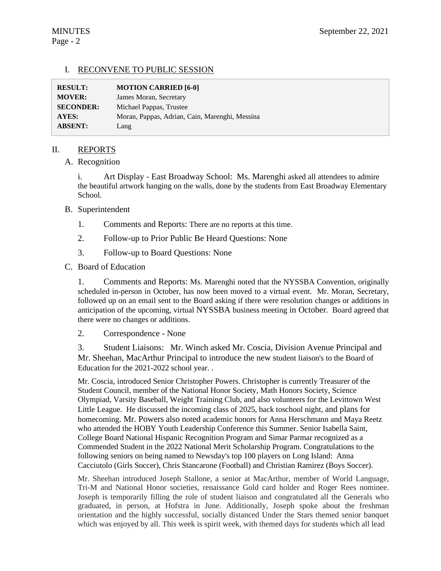# I. RECONVENE TO PUBLIC SESSION

| <b>RESULT:</b>   | <b>MOTION CARRIED [6-0]</b>                    |
|------------------|------------------------------------------------|
| <b>MOVER:</b>    | James Moran, Secretary                         |
| <b>SECONDER:</b> | Michael Pappas, Trustee                        |
| AYES:            | Moran, Pappas, Adrian, Cain, Marenghi, Messina |
| <b>ABSENT:</b>   | Lang                                           |

# II. REPORTS

### A. Recognition

i. Art Display - East Broadway School: Ms. Marenghi asked all attendees to admire the beautiful artwork hanging on the walls, done by the students from East Broadway Elementary School.

# B. Superintendent

- 1. Comments and Reports: There are no reports at this time.
- 2. Follow-up to Prior Public Be Heard Questions: None
- 3. Follow-up to Board Questions: None

### C. Board of Education

1. Comments and Reports: Ms. Marenghi noted that the NYSSBA Convention, originally scheduled in-person in October, has now been moved to a virtual event. Mr. Moran, Secretary, followed up on an email sent to the Board asking if there were resolution changes or additions in anticipation of the upcoming, virtual NYSSBA business meeting in October. Board agreed that there were no changes or additions.

# 2. Correspondence - None

3. Student Liaisons: Mr. Winch asked Mr. Coscia, Division Avenue Principal and Mr. Sheehan, MacArthur Principal to introduce the new student liaison's to the Board of Education for the 2021-2022 school year. .

Mr. Coscia, introduced Senior Christopher Powers. Christopher is currently Treasurer of the Student Council, member of the National Honor Society, Math Honors Society, Science Olympiad, Varsity Baseball, Weight Training Club, and also volunteers for the Levittown West Little League. He discussed the incoming class of 2025, back toschool night, and plans for homecoming. Mr. Powers also noted academic honors for Anna Herschmann and Maya Reetz who attended the HOBY Youth Leadership Conference this Summer. Senior Isabella Saint, College Board National Hispanic Recognition Program and Simar Parmar recognized as a Commended Student in the 2022 National Merit Scholarship Program. Congratulations to the following seniors on being named to Newsday's top 100 players on Long Island: Anna Cacciutolo (Girls Soccer), Chris Stancarone (Football) and Christian Ramirez (Boys Soccer).

Mr. Sheehan introduced Joseph Stallone, a senior at MacArthur, member of World Language, Tri-M and National Honor societies, renaissance Gold card holder and Roger Rees nominee. Joseph is temporarily filling the role of student liaison and congratulated all the Generals who graduated, in person, at Hofstra in June. Additionally, Joseph spoke about the freshman orientation and the highly successful, socially distanced Under the Stars themed senior banquet which was enjoyed by all. This week is spirit week, with themed days for students which all lead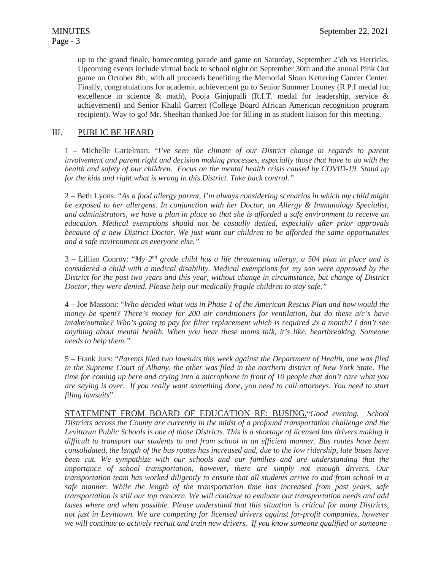up to the grand finale, homecoming parade and game on Saturday, September 25th vs Herricks. Upcoming events include virtual back to school night on September 30th and the annual Pink Out game on October 8th, with all proceeds benefiting the Memorial Sloan Kettering Cancer Center. Finally, congratulations for academic achievement go to Senior Summer Looney (R.P.I medal for excellence in science & math), Pooja Ginjupalli (R.I.T. medal for leadership, service  $\&$ achievement) and Senior Khalil Garrett (College Board African American recognition program recipient). Way to go! Mr. Sheehan thanked Joe for filling in as student liaison for this meeting.

# III. PUBLIC BE HEARD

1 – Michelle Gartelman: "*I've seen the climate of our District change in regards to parent involvement and parent right and decision making processes, especially those that have to do with the health and safety of our children*. *Focus on the mental health crisis caused by COVID-19. Stand up for the kids and right what is wrong in this District. Take back control."*

2 – Beth Lyons: "*As a food allergy parent, I'm always considering scenarios in which my child might be exposed to her allergens. In conjunction with her Doctor, an Allergy & Immunology Specialist, and administrators, we have a plan in place so that she is afforded a safe environment to receive an education. Medical exemptions should not be casually denied, especially after prior approvals because of a new District Doctor. We just want our children to be afforded the same opportunities and a safe environment as everyone else."*

3 – Lillian Conroy: "*My 2nd grade child has a life threatening allergy, a 504 plan in place and is considered a child with a medical disability. Medical exemptions for my son were approved by the District for the past two years and this year, without change in circumstance, but change of District Doctor, they were denied. Please help our medically fragile children to stay safe."*

4 – Joe Massoni: "*Who decided what was in Phase 1 of the American Rescus Plan and how would the money be spent? There's money for 200 air conditioners for ventilation, but do these a/c's have intake/outtake? Who's going to pay for filter replacement which is required 2x a month? I don't see anything about mental health. When you hear these moms talk, it's like, heartbreaking. Someone needs to help them."*

5 – Frank Jurs: "*Parents filed two lawsuits this week against the Department of Health, one was filed in the Supreme Court of Albany, the other was filed in the northern district of New York State. The time for coming up here and crying into a microphone in front of 10 people that don't care what you are saying is over. If you really want something done, you need to call attorneys. You need to start filing lawsuits*".

STATEMENT FROM BOARD OF EDUCATION RE: BUSING."*Good evening. School Districts across the County are currently in the midst of a profound transportation challenge and the Levittown Public Schools is one of those Districts. This is a shortage of licensed bus drivers making it difficult to transport our students to and from school in an efficient manner. Bus routes have been consolidated, the length of the bus routes has increased and, due to the low ridership, late buses have been cut. We sympathize with our schools and our families and are understanding that the importance of school transportation, however, there are simply not enough drivers. Our transportation team has worked diligently to ensure that all students arrive to and from school in a safe manner. While the length of the transportation time has increased from past years, safe transportation is still our top concern. We will continue to evaluate our transportation needs and add buses where and when possible. Please understand that this situation is critical for many Districts, not just in Levittown. We are competing for licensed drivers against for-profit companies, however we will continue to actively recruit and train new drivers. If you know someone qualified or someone*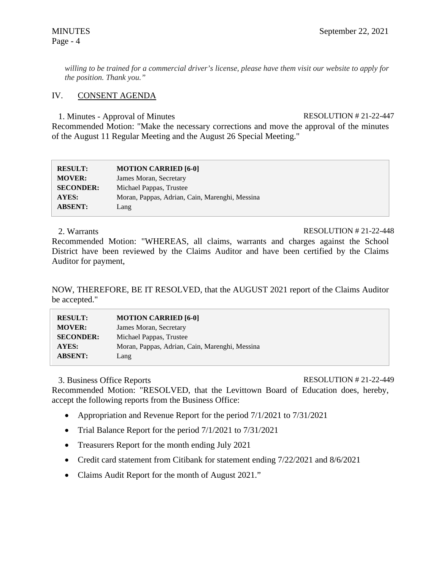*willing to be trained for a commercial driver's license, please have them visit our website to apply for the position. Thank you."*

# IV. CONSENT AGENDA

1. Minutes - Approval of Minutes RESOLUTION # 21-22-447

Recommended Motion: "Make the necessary corrections and move the approval of the minutes of the August 11 Regular Meeting and the August 26 Special Meeting."

| <b>RESULT:</b>   | <b>MOTION CARRIED [6-0]</b>                    |
|------------------|------------------------------------------------|
| <b>MOVER:</b>    | James Moran, Secretary                         |
| <b>SECONDER:</b> | Michael Pappas, Trustee                        |
| AYES:            | Moran, Pappas, Adrian, Cain, Marenghi, Messina |
| <b>ABSENT:</b>   | Lang                                           |

### 2. Warrants RESOLUTION # 21-22-448

Recommended Motion: "WHEREAS, all claims, warrants and charges against the School District have been reviewed by the Claims Auditor and have been certified by the Claims Auditor for payment,

NOW, THEREFORE, BE IT RESOLVED, that the AUGUST 2021 report of the Claims Auditor be accepted."

| <b>RESULT:</b>   | <b>MOTION CARRIED [6-0]</b>                    |
|------------------|------------------------------------------------|
| <b>MOVER:</b>    | James Moran, Secretary                         |
| <b>SECONDER:</b> | Michael Pappas, Trustee                        |
| AYES:            | Moran, Pappas, Adrian, Cain, Marenghi, Messina |
| <b>ABSENT:</b>   | Lang                                           |

# 3. Business Office Reports RESOLUTION # 21-22-449

Recommended Motion: "RESOLVED, that the Levittown Board of Education does, hereby, accept the following reports from the Business Office:

- Appropriation and Revenue Report for the period  $7/1/2021$  to  $7/31/2021$
- Trial Balance Report for the period  $7/1/2021$  to  $7/31/2021$
- Treasurers Report for the month ending July 2021
- Credit card statement from Citibank for statement ending  $7/22/2021$  and  $8/6/2021$
- Claims Audit Report for the month of August 2021."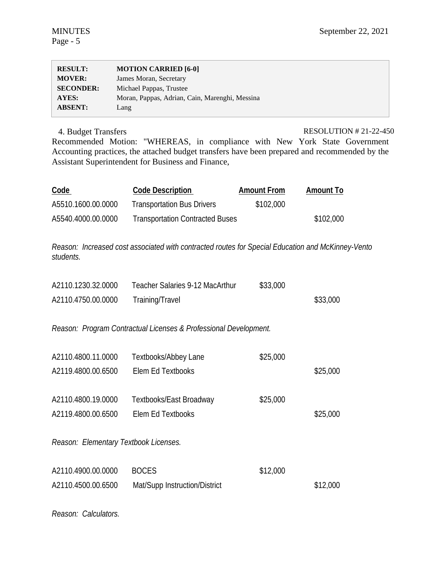| <b>RESULT:</b>   | <b>MOTION CARRIED [6-0]</b>                    |
|------------------|------------------------------------------------|
| <b>MOVER:</b>    | James Moran, Secretary                         |
| <b>SECONDER:</b> | Michael Pappas, Trustee                        |
| AYES:            | Moran, Pappas, Adrian, Cain, Marenghi, Messina |
| <b>ABSENT:</b>   | Lang                                           |

4. Budget Transfers RESOLUTION # 21-22-450

Recommended Motion: "WHEREAS, in compliance with New York State Government Accounting practices, the attached budget transfers have been prepared and recommended by the Assistant Superintendent for Business and Finance,

| Code               | <b>Code Description</b>                | <b>Amount From</b> | <b>Amount To</b> |
|--------------------|----------------------------------------|--------------------|------------------|
| A5510.1600.00.0000 | <b>Transportation Bus Drivers</b>      | \$102,000          |                  |
| A5540.4000.00.0000 | <b>Transportation Contracted Buses</b> |                    | \$102,000        |

*Reason: Increased cost associated with contracted routes for Special Education and McKinney-Vento students.* 

| A2110.1230.32.0000 | Teacher Salaries 9-12 MacArthur | \$33,000 |          |
|--------------------|---------------------------------|----------|----------|
| A2110.4750.00.0000 | Training/Travel                 |          | \$33,000 |

*Reason: Program Contractual Licenses & Professional Development.* 

| A2110.4800.11.0000                    | Textbooks/Abbey Lane    | \$25,000 |          |
|---------------------------------------|-------------------------|----------|----------|
| A2119.4800.00.6500                    | Elem Ed Textbooks       |          | \$25,000 |
|                                       |                         |          |          |
| A2110.4800.19.0000                    | Textbooks/East Broadway | \$25,000 |          |
| A2119.4800.00.6500                    | Elem Ed Textbooks       |          | \$25,000 |
|                                       |                         |          |          |
| Reason: Elementary Textbook Licenses. |                         |          |          |
|                                       |                         |          |          |
| A2110.4900.00.0000                    | <b>BOCES</b>            | \$12,000 |          |

A2110.4500.00.6500 Mat/Supp Instruction/District \$12,000

*Reason: Calculators.*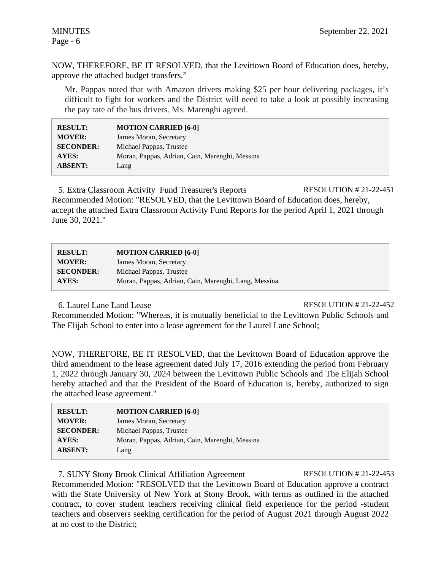NOW, THEREFORE, BE IT RESOLVED, that the Levittown Board of Education does, hereby, approve the attached budget transfers."

Mr. Pappas noted that with Amazon drivers making \$25 per hour delivering packages, it's difficult to fight for workers and the District will need to take a look at possibly increasing the pay rate of the bus drivers. Ms. Marenghi agreed.

| <b>RESULT:</b>   | <b>MOTION CARRIED [6-0]</b>                    |  |
|------------------|------------------------------------------------|--|
| <b>MOVER:</b>    | James Moran, Secretary                         |  |
| <b>SECONDER:</b> | Michael Pappas, Trustee                        |  |
| AYES:            | Moran, Pappas, Adrian, Cain, Marenghi, Messina |  |
| <b>ABSENT:</b>   | Lang                                           |  |

5. Extra Classroom Activity Fund Treasurer's Reports RESOLUTION # 21-22-451 Recommended Motion: "RESOLVED, that the Levittown Board of Education does, hereby, accept the attached Extra Classroom Activity Fund Reports for the period April 1, 2021 through June 30, 2021."

| <b>RESULT:</b>   | <b>MOTION CARRIED [6-0]</b>                          |  |
|------------------|------------------------------------------------------|--|
| <b>MOVER:</b>    | James Moran, Secretary                               |  |
| <b>SECONDER:</b> | Michael Pappas, Trustee                              |  |
| <b>AYES:</b>     | Moran, Pappas, Adrian, Cain, Marenghi, Lang, Messina |  |

6. Laurel Lane Land Lease RESOLUTION # 21-22-452

Recommended Motion: "Whereas, it is mutually beneficial to the Levittown Public Schools and The Elijah School to enter into a lease agreement for the Laurel Lane School;

NOW, THEREFORE, BE IT RESOLVED, that the Levittown Board of Education approve the third amendment to the lease agreement dated July 17, 2016 extending the period from February 1, 2022 through January 30, 2024 between the Levittown Public Schools and The Elijah School hereby attached and that the President of the Board of Education is, hereby, authorized to sign the attached lease agreement."

| <b>RESULT:</b>   | <b>MOTION CARRIED [6-0]</b>                    |
|------------------|------------------------------------------------|
| <b>MOVER:</b>    | James Moran, Secretary                         |
| <b>SECONDER:</b> | Michael Pappas, Trustee                        |
| <b>AYES:</b>     | Moran, Pappas, Adrian, Cain, Marenghi, Messina |
| <b>ABSENT:</b>   | Lang                                           |

7. SUNY Stony Brook Clinical Affiliation Agreement RESOLUTION # 21-22-453

Recommended Motion: "RESOLVED that the Levittown Board of Education approve a contract with the State University of New York at Stony Brook, with terms as outlined in the attached contract, to cover student teachers receiving clinical field experience for the period -student teachers and observers seeking certification for the period of August 2021 through August 2022 at no cost to the District;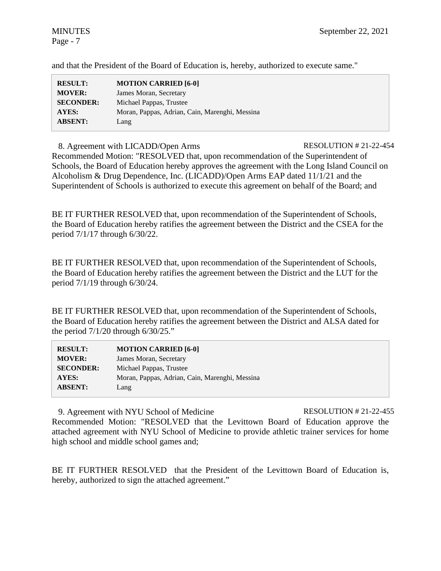and that the President of the Board of Education is, hereby, authorized to execute same."

8. Agreement with LICADD/Open Arms RESOLUTION # 21-22-454 Recommended Motion: "RESOLVED that, upon recommendation of the Superintendent of Schools, the Board of Education hereby approves the agreement with the Long Island Council on Alcoholism & Drug Dependence, Inc. (LICADD)/Open Arms EAP dated 11/1/21 and the Superintendent of Schools is authorized to execute this agreement on behalf of the Board; and

BE IT FURTHER RESOLVED that, upon recommendation of the Superintendent of Schools, the Board of Education hereby ratifies the agreement between the District and the CSEA for the period 7/1/17 through 6/30/22.

BE IT FURTHER RESOLVED that, upon recommendation of the Superintendent of Schools, the Board of Education hereby ratifies the agreement between the District and the LUT for the period 7/1/19 through 6/30/24.

BE IT FURTHER RESOLVED that, upon recommendation of the Superintendent of Schools, the Board of Education hereby ratifies the agreement between the District and ALSA dated for the period  $7/1/20$  through  $6/30/25$ ."

| <b>RESULT:</b>   | <b>MOTION CARRIED [6-0]</b>                    |
|------------------|------------------------------------------------|
| <b>MOVER:</b>    | James Moran, Secretary                         |
| <b>SECONDER:</b> | Michael Pappas, Trustee                        |
| AYES:            | Moran, Pappas, Adrian, Cain, Marenghi, Messina |
| <b>ABSENT:</b>   | Lang                                           |

9. Agreement with NYU School of Medicine RESOLUTION # 21-22-455 Recommended Motion: "RESOLVED that the Levittown Board of Education approve the attached agreement with NYU School of Medicine to provide athletic trainer services for home high school and middle school games and;

BE IT FURTHER RESOLVED that the President of the Levittown Board of Education is, hereby, authorized to sign the attached agreement."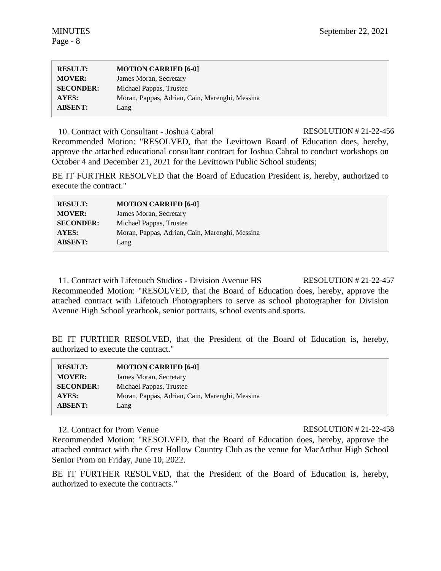| <b>RESULT:</b>   | <b>MOTION CARRIED [6-0]</b>                    |
|------------------|------------------------------------------------|
| <b>MOVER:</b>    | James Moran, Secretary                         |
| <b>SECONDER:</b> | Michael Pappas, Trustee                        |
| AYES:            | Moran, Pappas, Adrian, Cain, Marenghi, Messina |
| <b>ABSENT:</b>   | Lang                                           |

10. Contract with Consultant - Joshua Cabral RESOLUTION # 21-22-456

Recommended Motion: "RESOLVED, that the Levittown Board of Education does, hereby, approve the attached educational consultant contract for Joshua Cabral to conduct workshops on October 4 and December 21, 2021 for the Levittown Public School students;

BE IT FURTHER RESOLVED that the Board of Education President is, hereby, authorized to execute the contract."

| <b>RESULT:</b>   | <b>MOTION CARRIED [6-0]</b>                    |
|------------------|------------------------------------------------|
| <b>MOVER:</b>    | James Moran, Secretary                         |
| <b>SECONDER:</b> | Michael Pappas, Trustee                        |
| <b>AYES:</b>     | Moran, Pappas, Adrian, Cain, Marenghi, Messina |
| <b>ABSENT:</b>   | Lang                                           |

11. Contract with Lifetouch Studios - Division Avenue HS RESOLUTION # 21-22-457 Recommended Motion: "RESOLVED, that the Board of Education does, hereby, approve the attached contract with Lifetouch Photographers to serve as school photographer for Division Avenue High School yearbook, senior portraits, school events and sports.

BE IT FURTHER RESOLVED, that the President of the Board of Education is, hereby, authorized to execute the contract."

| <b>RESULT:</b>   | <b>MOTION CARRIED [6-0]</b>                    |
|------------------|------------------------------------------------|
| <b>MOVER:</b>    | James Moran, Secretary                         |
| <b>SECONDER:</b> | Michael Pappas, Trustee                        |
| <b>AYES:</b>     | Moran, Pappas, Adrian, Cain, Marenghi, Messina |
| <b>ABSENT:</b>   | Lang                                           |
|                  |                                                |

# 12. Contract for Prom Venue RESOLUTION # 21-22-458

Recommended Motion: "RESOLVED, that the Board of Education does, hereby, approve the attached contract with the Crest Hollow Country Club as the venue for MacArthur High School Senior Prom on Friday, June 10, 2022.

BE IT FURTHER RESOLVED, that the President of the Board of Education is, hereby, authorized to execute the contracts."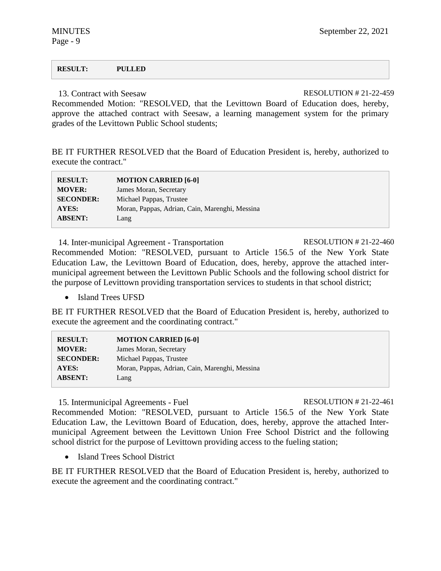Page - 9

#### **RESULT: PULLED**

13 Contract with Seesaw RESOLUTION # 21-22-459

Recommended Motion: "RESOLVED, that the Levittown Board of Education does, hereby, approve the attached contract with Seesaw, a learning management system for the primary grades of the Levittown Public School students;

BE IT FURTHER RESOLVED that the Board of Education President is, hereby, authorized to execute the contract."

| <b>RESULT:</b>   | <b>MOTION CARRIED [6-0]</b>                    |
|------------------|------------------------------------------------|
| <b>MOVER:</b>    | James Moran, Secretary                         |
| <b>SECONDER:</b> | Michael Pappas, Trustee                        |
| AYES:            | Moran, Pappas, Adrian, Cain, Marenghi, Messina |
| <b>ABSENT:</b>   | Lang                                           |

14. Inter-municipal Agreement - Transportation RESOLUTION # 21-22-460 Recommended Motion: "RESOLVED, pursuant to Article 156.5 of the New York State Education Law, the Levittown Board of Education, does, hereby, approve the attached intermunicipal agreement between the Levittown Public Schools and the following school district for the purpose of Levittown providing transportation services to students in that school district;

• Island Trees UFSD

BE IT FURTHER RESOLVED that the Board of Education President is, hereby, authorized to execute the agreement and the coordinating contract."

| <b>RESULT:</b>   | <b>MOTION CARRIED [6-0]</b>                    |
|------------------|------------------------------------------------|
| <b>MOVER:</b>    | James Moran, Secretary                         |
| <b>SECONDER:</b> | Michael Pappas, Trustee                        |
| AYES:            | Moran, Pappas, Adrian, Cain, Marenghi, Messina |
| <b>ABSENT:</b>   | Lang                                           |

15. Intermunicipal Agreements - Fuel RESOLUTION # 21-22-461

Recommended Motion: "RESOLVED, pursuant to Article 156.5 of the New York State Education Law, the Levittown Board of Education, does, hereby, approve the attached Intermunicipal Agreement between the Levittown Union Free School District and the following school district for the purpose of Levittown providing access to the fueling station;

• Island Trees School District

BE IT FURTHER RESOLVED that the Board of Education President is, hereby, authorized to execute the agreement and the coordinating contract."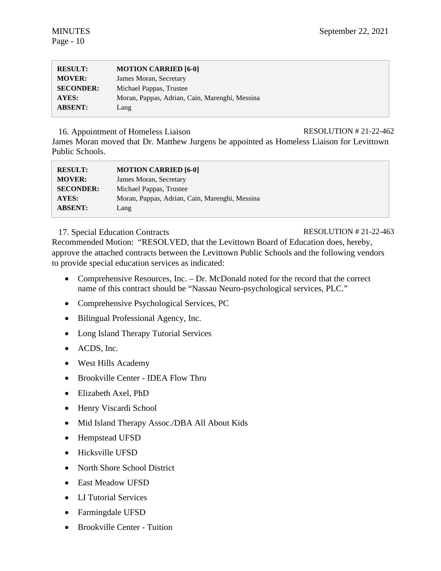| <b>RESULT:</b>   | <b>MOTION CARRIED [6-0]</b>                    |
|------------------|------------------------------------------------|
| <b>MOVER:</b>    | James Moran, Secretary                         |
| <b>SECONDER:</b> | Michael Pappas, Trustee                        |
| AYES:            | Moran, Pappas, Adrian, Cain, Marenghi, Messina |
| <b>ABSENT:</b>   | Lang                                           |

16. Appointment of Homeless Liaison RESOLUTION # 21-22-462

James Moran moved that Dr. Matthew Jurgens be appointed as Homeless Liaison for Levittown Public Schools.

| <b>RESULT:</b>   | <b>MOTION CARRIED [6-0]</b>                    |
|------------------|------------------------------------------------|
| <b>MOVER:</b>    | James Moran, Secretary                         |
| <b>SECONDER:</b> | Michael Pappas, Trustee                        |
| AYES:            | Moran, Pappas, Adrian, Cain, Marenghi, Messina |
| <b>ABSENT:</b>   | Lang                                           |

# 17. Special Education Contracts RESOLUTION # 21-22-463

Recommended Motion: "RESOLVED, that the Levittown Board of Education does, hereby, approve the attached contracts between the Levittown Public Schools and the following vendors to provide special education services as indicated:

- Comprehensive Resources, Inc. Dr. McDonald noted for the record that the correct name of this contract should be "Nassau Neuro-psychological services, PLC."
- Comprehensive Psychological Services, PC
- Bilingual Professional Agency, Inc.
- Long Island Therapy Tutorial Services
- ACDS, Inc.
- West Hills Academy
- Brookville Center IDEA Flow Thru
- Elizabeth Axel, PhD
- Henry Viscardi School
- Mid Island Therapy Assoc./DBA All About Kids
- Hempstead UFSD
- Hicksville UFSD
- North Shore School District
- East Meadow UFSD
- LI Tutorial Services
- Farmingdale UFSD
- Brookville Center Tuition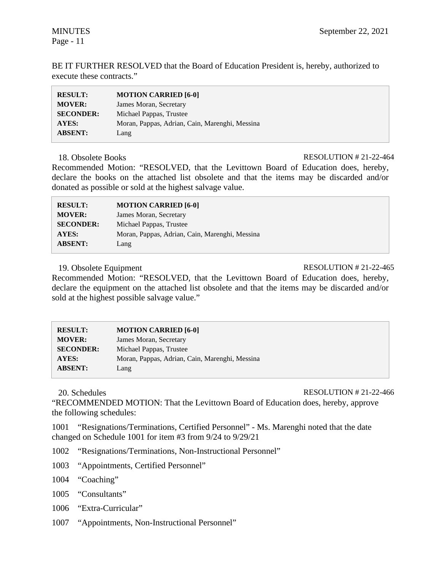BE IT FURTHER RESOLVED that the Board of Education President is, hereby, authorized to execute these contracts."

| <b>RESULT:</b>   | <b>MOTION CARRIED [6-0]</b>                    |
|------------------|------------------------------------------------|
| <b>MOVER:</b>    | James Moran, Secretary                         |
| <b>SECONDER:</b> | Michael Pappas, Trustee                        |
| AYES:            | Moran, Pappas, Adrian, Cain, Marenghi, Messina |
| <b>ABSENT:</b>   | Lang                                           |

### 18. Obsolete Books RESOLUTION # 21-22-464

Recommended Motion: "RESOLVED, that the Levittown Board of Education does, hereby, declare the books on the attached list obsolete and that the items may be discarded and/or donated as possible or sold at the highest salvage value.

| <b>RESULT:</b>   | <b>MOTION CARRIED [6-0]</b>                    |
|------------------|------------------------------------------------|
| <b>MOVER:</b>    | James Moran, Secretary                         |
| <b>SECONDER:</b> | Michael Pappas, Trustee                        |
| AYES:            | Moran, Pappas, Adrian, Cain, Marenghi, Messina |
| <b>ABSENT:</b>   | Lang                                           |

19. Obsolete Equipment RESOLUTION # 21-22-465

Recommended Motion: "RESOLVED, that the Levittown Board of Education does, hereby, declare the equipment on the attached list obsolete and that the items may be discarded and/or sold at the highest possible salvage value."

| <b>RESULT:</b>   | <b>MOTION CARRIED [6-0]</b>                    |
|------------------|------------------------------------------------|
| <b>MOVER:</b>    | James Moran, Secretary                         |
| <b>SECONDER:</b> | Michael Pappas, Trustee                        |
| <b>AYES:</b>     | Moran, Pappas, Adrian, Cain, Marenghi, Messina |
| <b>ABSENT:</b>   | Lang                                           |

20. Schedules RESOLUTION # 21-22-466

"RECOMMENDED MOTION: That the Levittown Board of Education does, hereby, approve the following schedules:

1001 "Resignations/Terminations, Certified Personnel" - Ms. Marenghi noted that the date changed on Schedule 1001 for item #3 from 9/24 to 9/29/21

- 1002 "Resignations/Terminations, Non-Instructional Personnel"
- 1003 "Appointments, Certified Personnel"
- 1004 "Coaching"
- 1005 "Consultants"
- 1006 "Extra-Curricular"
- 1007 "Appointments, Non-Instructional Personnel"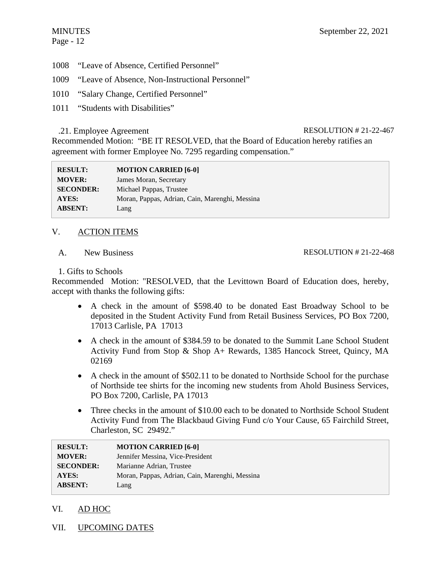# Page - 12

- 1008 "Leave of Absence, Certified Personnel"
- 1009 "Leave of Absence, Non-Instructional Personnel"
- 1010 "Salary Change, Certified Personnel"
- 1011 "Students with Disabilities"

# .21. Employee Agreement RESOLUTION # 21-22-467

Recommended Motion: "BE IT RESOLVED, that the Board of Education hereby ratifies an agreement with former Employee No. 7295 regarding compensation."

| <b>RESULT:</b>   | <b>MOTION CARRIED [6-0]</b>                    |
|------------------|------------------------------------------------|
| <b>MOVER:</b>    | James Moran, Secretary                         |
| <b>SECONDER:</b> | Michael Pappas, Trustee                        |
| <b>AYES:</b>     | Moran, Pappas, Adrian, Cain, Marenghi, Messina |
| <b>ABSENT:</b>   | Lang                                           |

# V. ACTION ITEMS

A. New Business

# RESOLUTION # 21-22-468

# 1. Gifts to Schools

Recommended Motion: "RESOLVED, that the Levittown Board of Education does, hereby, accept with thanks the following gifts:

- A check in the amount of \$598.40 to be donated East Broadway School to be deposited in the Student Activity Fund from Retail Business Services, PO Box 7200, 17013 Carlisle, PA 17013
- A check in the amount of \$384.59 to be donated to the Summit Lane School Student Activity Fund from Stop & Shop A+ Rewards, 1385 Hancock Street, Quincy, MA 02169
- A check in the amount of \$502.11 to be donated to Northside School for the purchase of Northside tee shirts for the incoming new students from Ahold Business Services, PO Box 7200, Carlisle, PA 17013
- Three checks in the amount of \$10.00 each to be donated to Northside School Student Activity Fund from The Blackbaud Giving Fund c/o Your Cause, 65 Fairchild Street, Charleston, SC 29492."

| <b>RESULT:</b>   | <b>MOTION CARRIED [6-0]</b>                    |
|------------------|------------------------------------------------|
| <b>MOVER:</b>    | Jennifer Messina, Vice-President               |
| <b>SECONDER:</b> | Marianne Adrian, Trustee                       |
| <b>AYES:</b>     | Moran, Pappas, Adrian, Cain, Marenghi, Messina |
| <b>ABSENT:</b>   | Lang                                           |

- VI. AD HOC
- VII. UPCOMING DATES